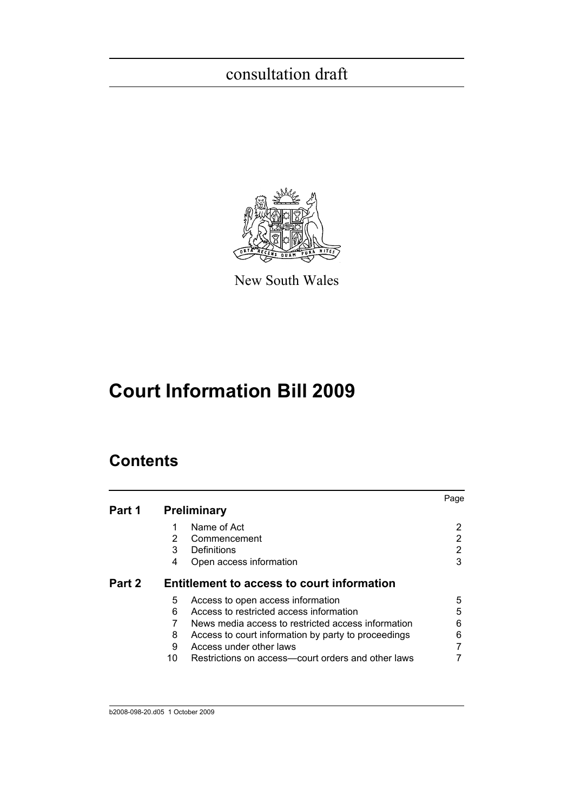

New South Wales

# **Court Information Bill 2009**

## **Contents**

| Part 1 |    | <b>Preliminary</b>                                  | Page |
|--------|----|-----------------------------------------------------|------|
|        |    |                                                     |      |
|        |    | Name of Act                                         | 2    |
|        | 2  | Commencement                                        | 2    |
|        | 3  | Definitions                                         | 2    |
|        | 4  | Open access information                             | 3    |
| Part 2 |    | <b>Entitlement to access to court information</b>   |      |
|        | 5  | Access to open access information                   | 5    |
|        | 6  | Access to restricted access information             | 5    |
|        |    | News media access to restricted access information  | 6    |
|        | 8  | Access to court information by party to proceedings | 6    |
|        | 9  | Access under other laws                             |      |
|        | 10 | Restrictions on access-court orders and other laws  |      |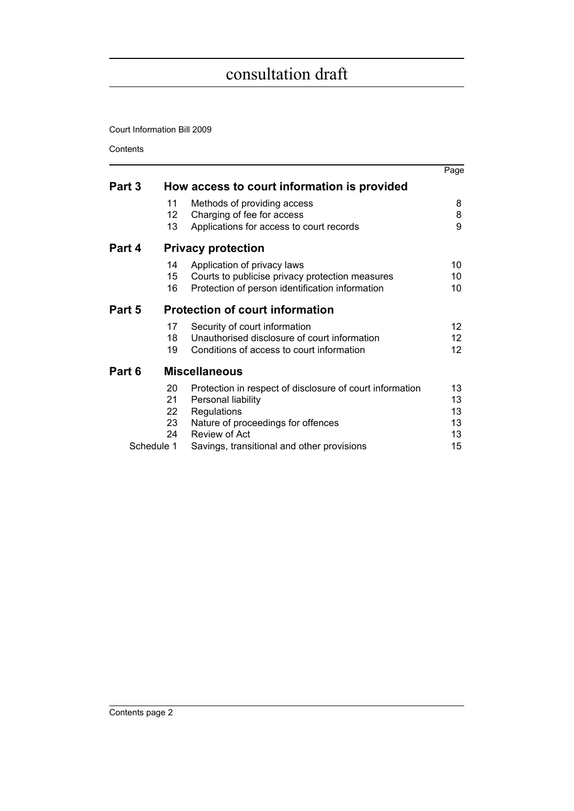Court Information Bill 2009

**Contents** 

|        |            |                                                          | Page            |
|--------|------------|----------------------------------------------------------|-----------------|
| Part 3 |            | How access to court information is provided              |                 |
|        | 11         | Methods of providing access                              | 8               |
|        | 12         | Charging of fee for access                               | 8               |
|        | 13         | Applications for access to court records                 | 9               |
| Part 4 |            | <b>Privacy protection</b>                                |                 |
|        | 14         | Application of privacy laws                              | 10              |
|        | 15         | Courts to publicise privacy protection measures          | 10              |
|        | 16         | Protection of person identification information          | 10              |
| Part 5 |            | <b>Protection of court information</b>                   |                 |
|        | 17         | Security of court information                            | 12 <sup>2</sup> |
|        | 18         | Unauthorised disclosure of court information             | 12              |
|        | 19         | Conditions of access to court information                | 12 <sup>2</sup> |
| Part 6 |            | <b>Miscellaneous</b>                                     |                 |
|        | 20         | Protection in respect of disclosure of court information | 13              |
|        | 21         | Personal liability                                       | 13              |
|        | 22         | Regulations                                              | 13              |
|        | 23         | Nature of proceedings for offences                       | 13              |
|        | 24         | Review of Act                                            | 13              |
|        | Schedule 1 | Savings, transitional and other provisions               | 15              |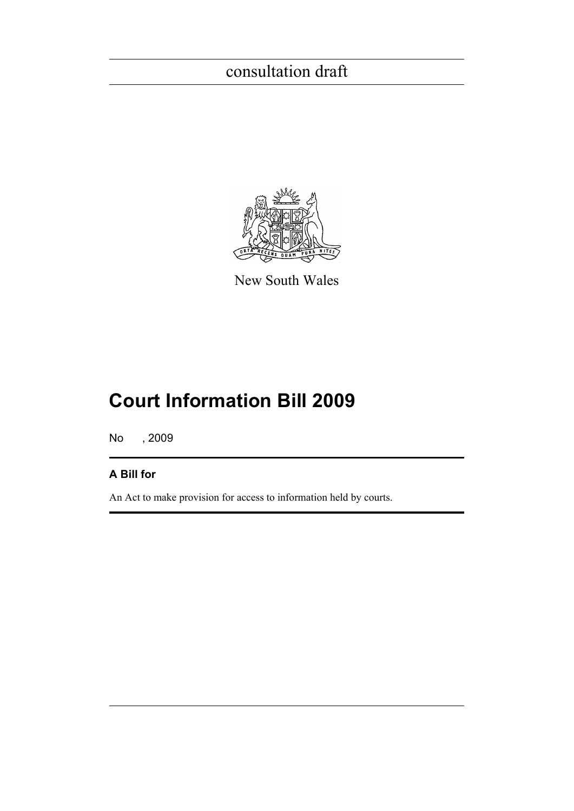

New South Wales

# **Court Information Bill 2009**

No , 2009

### **A Bill for**

An Act to make provision for access to information held by courts.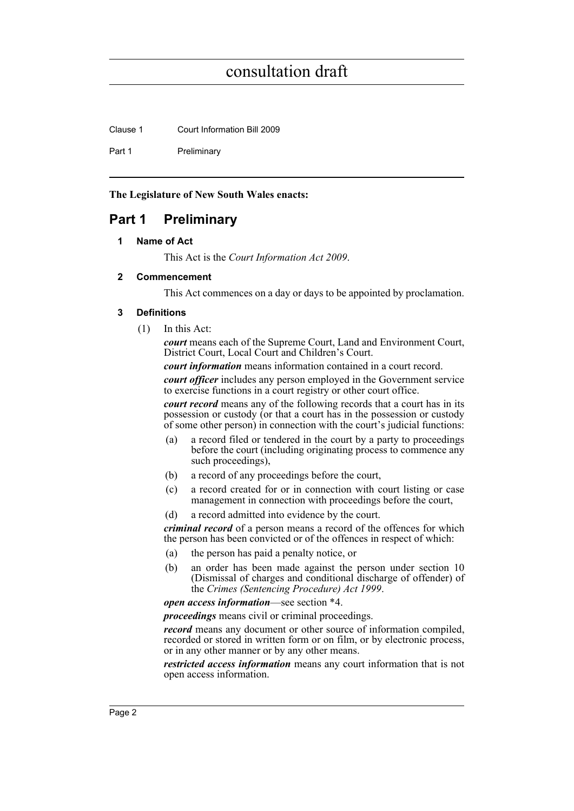Clause 1 Court Information Bill 2009

Part 1 Preliminary

**The Legislature of New South Wales enacts:**

### <span id="page-3-1"></span><span id="page-3-0"></span>**Part 1 Preliminary**

#### **1 Name of Act**

This Act is the *Court Information Act 2009*.

#### <span id="page-3-2"></span>**2 Commencement**

This Act commences on a day or days to be appointed by proclamation.

#### <span id="page-3-3"></span>**3 Definitions**

(1) In this Act:

*court* means each of the Supreme Court, Land and Environment Court, District Court, Local Court and Children's Court.

*court information* means information contained in a court record.

*court officer* includes any person employed in the Government service to exercise functions in a court registry or other court office.

*court record* means any of the following records that a court has in its possession or custody (or that a court has in the possession or custody of some other person) in connection with the court's judicial functions:

- (a) a record filed or tendered in the court by a party to proceedings before the court (including originating process to commence any such proceedings),
- (b) a record of any proceedings before the court,
- (c) a record created for or in connection with court listing or case management in connection with proceedings before the court,
- (d) a record admitted into evidence by the court.

*criminal record* of a person means a record of the offences for which the person has been convicted or of the offences in respect of which:

- (a) the person has paid a penalty notice, or
- (b) an order has been made against the person under section 10 (Dismissal of charges and conditional discharge of offender) of the *Crimes (Sentencing Procedure) Act 1999*.

*open access information*—see section \*4.

*proceedings* means civil or criminal proceedings.

*record* means any document or other source of information compiled, recorded or stored in written form or on film, or by electronic process, or in any other manner or by any other means.

*restricted access information* means any court information that is not open access information.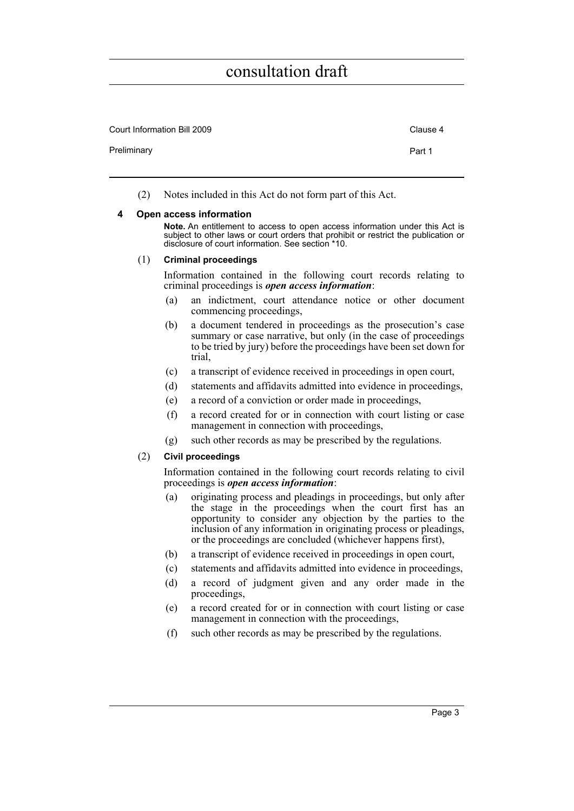| Court Information Bill 2009 | Clause 4 |
|-----------------------------|----------|
| Preliminary                 | Part 1   |
|                             |          |

(2) Notes included in this Act do not form part of this Act.

#### <span id="page-4-0"></span>**4 Open access information**

**Note.** An entitlement to access to open access information under this Act is subject to other laws or court orders that prohibit or restrict the publication or disclosure of court information. See section \*10.

#### (1) **Criminal proceedings**

Information contained in the following court records relating to criminal proceedings is *open access information*:

- (a) an indictment, court attendance notice or other document commencing proceedings,
- (b) a document tendered in proceedings as the prosecution's case summary or case narrative, but only (in the case of proceedings to be tried by jury) before the proceedings have been set down for trial,
- (c) a transcript of evidence received in proceedings in open court,
- (d) statements and affidavits admitted into evidence in proceedings,
- (e) a record of a conviction or order made in proceedings,
- (f) a record created for or in connection with court listing or case management in connection with proceedings,
- (g) such other records as may be prescribed by the regulations.

#### (2) **Civil proceedings**

Information contained in the following court records relating to civil proceedings is *open access information*:

- (a) originating process and pleadings in proceedings, but only after the stage in the proceedings when the court first has an opportunity to consider any objection by the parties to the inclusion of any information in originating process or pleadings, or the proceedings are concluded (whichever happens first),
- (b) a transcript of evidence received in proceedings in open court,
- (c) statements and affidavits admitted into evidence in proceedings,
- (d) a record of judgment given and any order made in the proceedings,
- (e) a record created for or in connection with court listing or case management in connection with the proceedings,
- (f) such other records as may be prescribed by the regulations.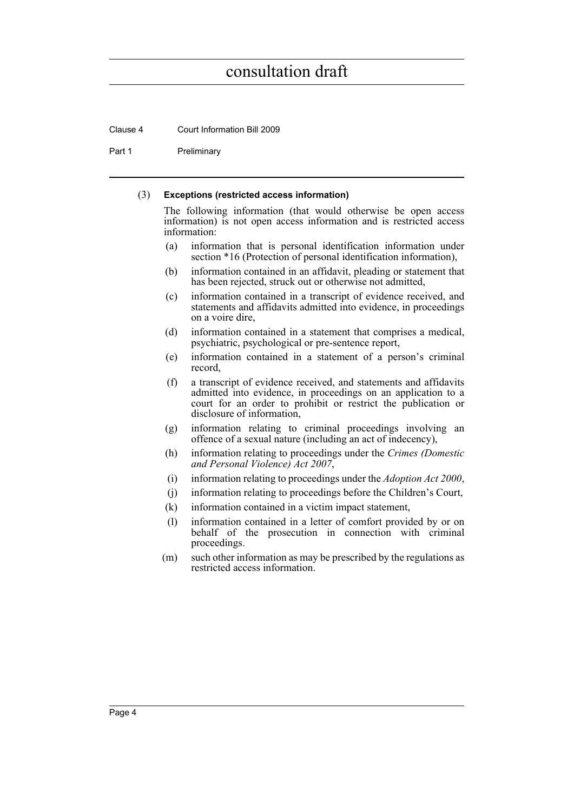Clause 4 Court Information Bill 2009

Part 1 Preliminary

#### (3) **Exceptions (restricted access information)**

The following information (that would otherwise be open access information) is not open access information and is restricted access information:

- (a) information that is personal identification information under section \*16 (Protection of personal identification information),
- (b) information contained in an affidavit, pleading or statement that has been rejected, struck out or otherwise not admitted,
- (c) information contained in a transcript of evidence received, and statements and affidavits admitted into evidence, in proceedings on a voire dire,
- (d) information contained in a statement that comprises a medical, psychiatric, psychological or pre-sentence report,
- (e) information contained in a statement of a person's criminal record,
- (f) a transcript of evidence received, and statements and affidavits admitted into evidence, in proceedings on an application to a court for an order to prohibit or restrict the publication or disclosure of information,
- (g) information relating to criminal proceedings involving an offence of a sexual nature (including an act of indecency),
- (h) information relating to proceedings under the *Crimes (Domestic and Personal Violence) Act 2007*,
- (i) information relating to proceedings under the *Adoption Act 2000*,
- (j) information relating to proceedings before the Children's Court,
- (k) information contained in a victim impact statement,
- (l) information contained in a letter of comfort provided by or on behalf of the prosecution in connection with criminal proceedings.
- (m) such other information as may be prescribed by the regulations as restricted access information.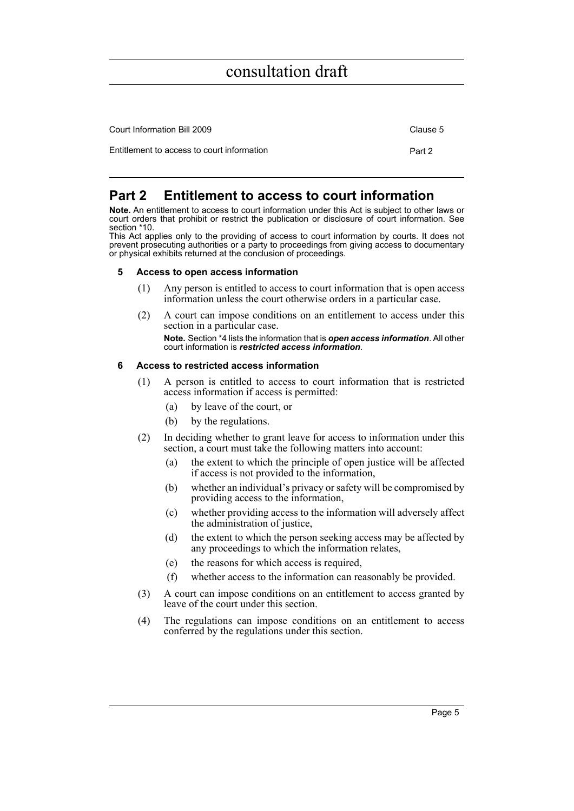| Court Information Bill 2009                | Clause 5 |
|--------------------------------------------|----------|
| Entitlement to access to court information | Part 2   |

### <span id="page-6-0"></span>**Part 2 Entitlement to access to court information**

**Note.** An entitlement to access to court information under this Act is subject to other laws or court orders that prohibit or restrict the publication or disclosure of court information. See section \*10.

This Act applies only to the providing of access to court information by courts. It does not prevent prosecuting authorities or a party to proceedings from giving access to documentary or physical exhibits returned at the conclusion of proceedings.

#### <span id="page-6-1"></span>**5 Access to open access information**

- (1) Any person is entitled to access to court information that is open access information unless the court otherwise orders in a particular case.
- (2) A court can impose conditions on an entitlement to access under this section in a particular case. **Note.** Section \*4 lists the information that is *open access information*. All other court information is *restricted access information*.

#### <span id="page-6-2"></span>**6 Access to restricted access information**

- (1) A person is entitled to access to court information that is restricted access information if access is permitted:
	- (a) by leave of the court, or
	- (b) by the regulations.
- (2) In deciding whether to grant leave for access to information under this section, a court must take the following matters into account:
	- (a) the extent to which the principle of open justice will be affected if access is not provided to the information,
	- (b) whether an individual's privacy or safety will be compromised by providing access to the information,
	- (c) whether providing access to the information will adversely affect the administration of justice,
	- (d) the extent to which the person seeking access may be affected by any proceedings to which the information relates,
	- (e) the reasons for which access is required,
	- (f) whether access to the information can reasonably be provided.
- (3) A court can impose conditions on an entitlement to access granted by leave of the court under this section.
- (4) The regulations can impose conditions on an entitlement to access conferred by the regulations under this section.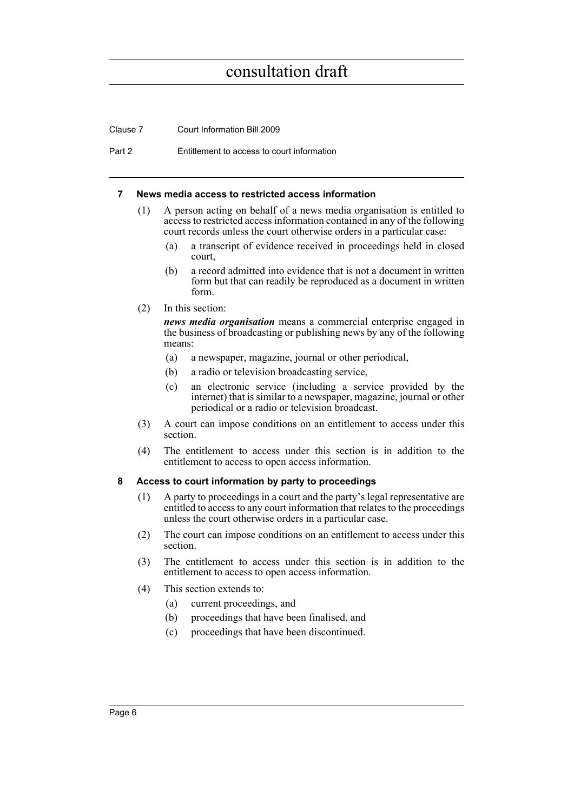Clause 7 Court Information Bill 2009

Part 2 Entitlement to access to court information

#### <span id="page-7-0"></span>**7 News media access to restricted access information**

- (1) A person acting on behalf of a news media organisation is entitled to access to restricted access information contained in any of the following court records unless the court otherwise orders in a particular case:
	- (a) a transcript of evidence received in proceedings held in closed court,
	- (b) a record admitted into evidence that is not a document in written form but that can readily be reproduced as a document in written form.
- (2) In this section:

*news media organisation* means a commercial enterprise engaged in the business of broadcasting or publishing news by any of the following means:

- (a) a newspaper, magazine, journal or other periodical,
- (b) a radio or television broadcasting service,
- (c) an electronic service (including a service provided by the internet) that is similar to a newspaper, magazine, journal or other periodical or a radio or television broadcast.
- (3) A court can impose conditions on an entitlement to access under this section.
- (4) The entitlement to access under this section is in addition to the entitlement to access to open access information.

#### <span id="page-7-1"></span>**8 Access to court information by party to proceedings**

- (1) A party to proceedings in a court and the party's legal representative are entitled to access to any court information that relates to the proceedings unless the court otherwise orders in a particular case.
- (2) The court can impose conditions on an entitlement to access under this section.
- (3) The entitlement to access under this section is in addition to the entitlement to access to open access information.
- (4) This section extends to:
	- (a) current proceedings, and
	- (b) proceedings that have been finalised, and
	- (c) proceedings that have been discontinued.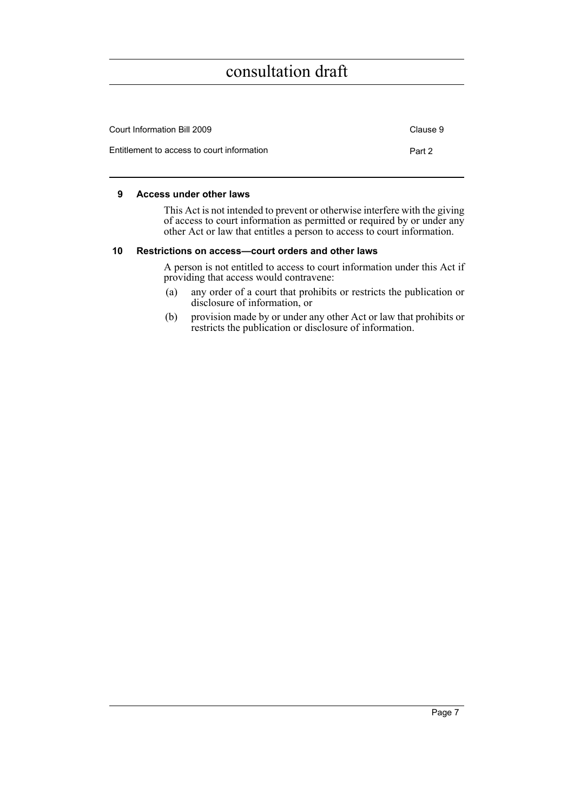| Court Information Bill 2009                | Clause 9 |
|--------------------------------------------|----------|
| Entitlement to access to court information | Part 2   |

#### <span id="page-8-0"></span>**9 Access under other laws**

This Act is not intended to prevent or otherwise interfere with the giving of access to court information as permitted or required by or under any other Act or law that entitles a person to access to court information.

#### <span id="page-8-1"></span>**10 Restrictions on access—court orders and other laws**

A person is not entitled to access to court information under this Act if providing that access would contravene:

- (a) any order of a court that prohibits or restricts the publication or disclosure of information, or
- (b) provision made by or under any other Act or law that prohibits or restricts the publication or disclosure of information.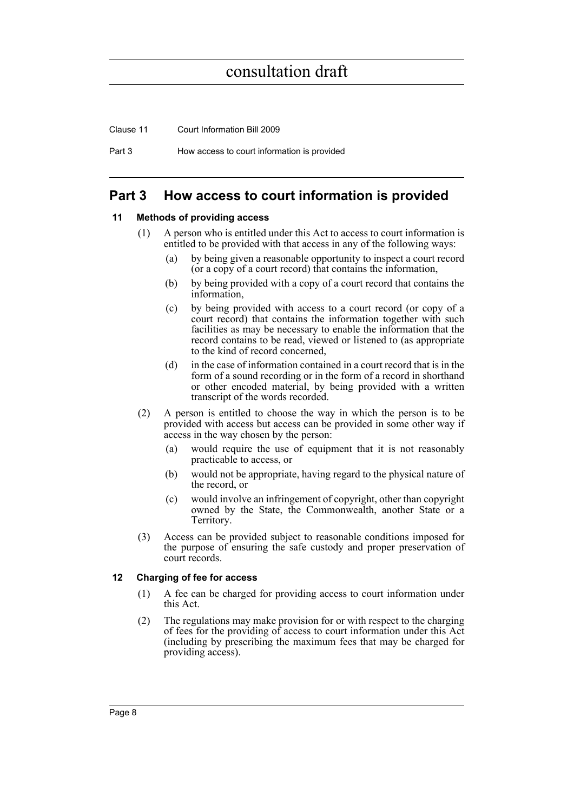Clause 11 Court Information Bill 2009

Part 3 How access to court information is provided

### <span id="page-9-0"></span>**Part 3 How access to court information is provided**

#### <span id="page-9-1"></span>**11 Methods of providing access**

- (1) A person who is entitled under this Act to access to court information is entitled to be provided with that access in any of the following ways:
	- (a) by being given a reasonable opportunity to inspect a court record (or a copy of a court record) that contains the information,
	- (b) by being provided with a copy of a court record that contains the information,
	- (c) by being provided with access to a court record (or copy of a court record) that contains the information together with such facilities as may be necessary to enable the information that the record contains to be read, viewed or listened to (as appropriate to the kind of record concerned,
	- (d) in the case of information contained in a court record that is in the form of a sound recording or in the form of a record in shorthand or other encoded material, by being provided with a written transcript of the words recorded.
- (2) A person is entitled to choose the way in which the person is to be provided with access but access can be provided in some other way if access in the way chosen by the person:
	- (a) would require the use of equipment that it is not reasonably practicable to access, or
	- (b) would not be appropriate, having regard to the physical nature of the record, or
	- (c) would involve an infringement of copyright, other than copyright owned by the State, the Commonwealth, another State or a Territory.
- (3) Access can be provided subject to reasonable conditions imposed for the purpose of ensuring the safe custody and proper preservation of court records.

#### <span id="page-9-2"></span>**12 Charging of fee for access**

- (1) A fee can be charged for providing access to court information under this Act.
- (2) The regulations may make provision for or with respect to the charging of fees for the providing of access to court information under this Act (including by prescribing the maximum fees that may be charged for providing access).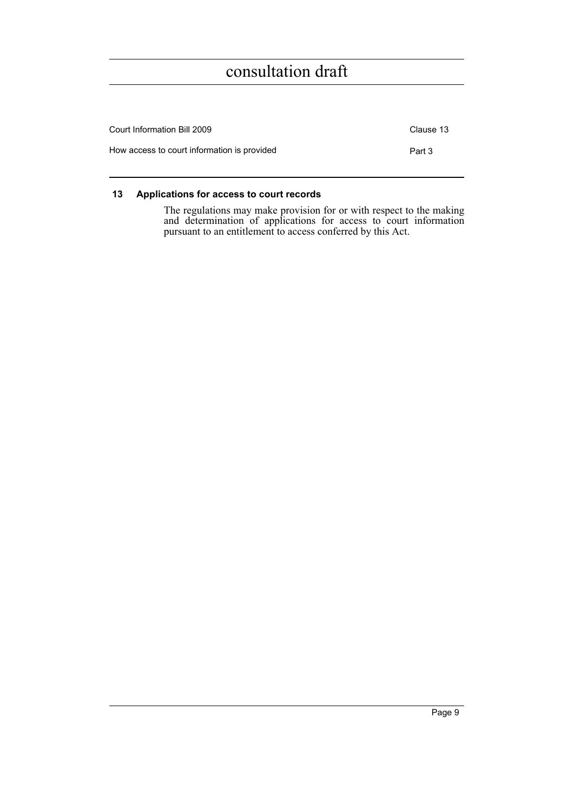| Court Information Bill 2009                 |        |
|---------------------------------------------|--------|
| How access to court information is provided | Part 3 |

#### <span id="page-10-0"></span>**13 Applications for access to court records**

The regulations may make provision for or with respect to the making and determination of applications for access to court information pursuant to an entitlement to access conferred by this Act.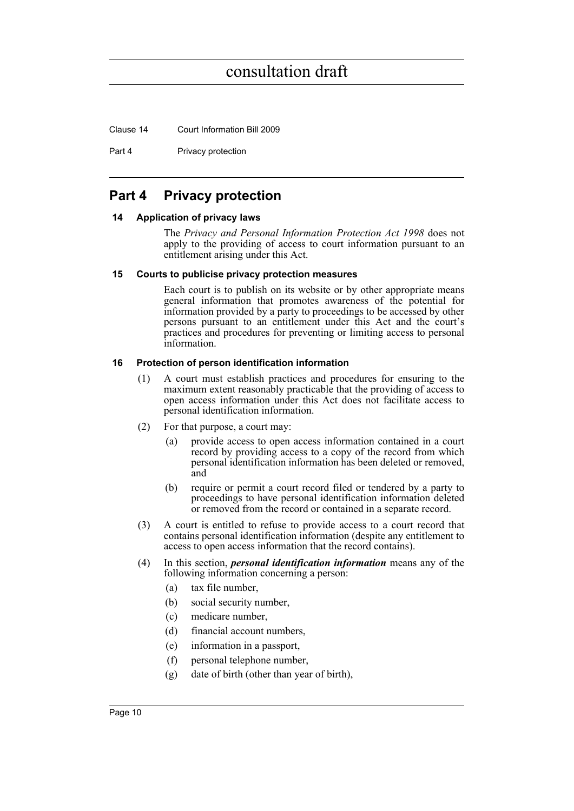Clause 14 Court Information Bill 2009

Part 4 Privacy protection

### <span id="page-11-0"></span>**Part 4 Privacy protection**

#### <span id="page-11-1"></span>**14 Application of privacy laws**

The *Privacy and Personal Information Protection Act 1998* does not apply to the providing of access to court information pursuant to an entitlement arising under this Act.

#### <span id="page-11-2"></span>**15 Courts to publicise privacy protection measures**

Each court is to publish on its website or by other appropriate means general information that promotes awareness of the potential for information provided by a party to proceedings to be accessed by other persons pursuant to an entitlement under this Act and the court's practices and procedures for preventing or limiting access to personal information.

#### <span id="page-11-3"></span>**16 Protection of person identification information**

- (1) A court must establish practices and procedures for ensuring to the maximum extent reasonably practicable that the providing of access to open access information under this Act does not facilitate access to personal identification information.
- (2) For that purpose, a court may:
	- (a) provide access to open access information contained in a court record by providing access to a copy of the record from which personal identification information has been deleted or removed, and
	- (b) require or permit a court record filed or tendered by a party to proceedings to have personal identification information deleted or removed from the record or contained in a separate record.
- (3) A court is entitled to refuse to provide access to a court record that contains personal identification information (despite any entitlement to access to open access information that the record contains).
- (4) In this section, *personal identification information* means any of the following information concerning a person:
	- (a) tax file number,
	- (b) social security number,
	- (c) medicare number,
	- (d) financial account numbers,
	- (e) information in a passport,
	- (f) personal telephone number,
	- (g) date of birth (other than year of birth),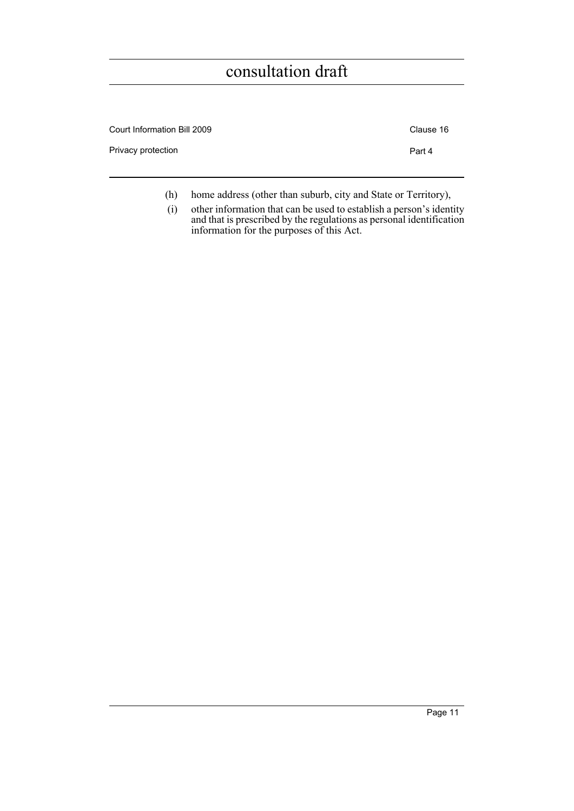| Court Information Bill 2009 | Clause 16 |
|-----------------------------|-----------|
| Privacy protection          | Part 4    |
|                             |           |

- (h) home address (other than suburb, city and State or Territory),
- (i) other information that can be used to establish a person's identity and that is prescribed by the regulations as personal identification information for the purposes of this Act.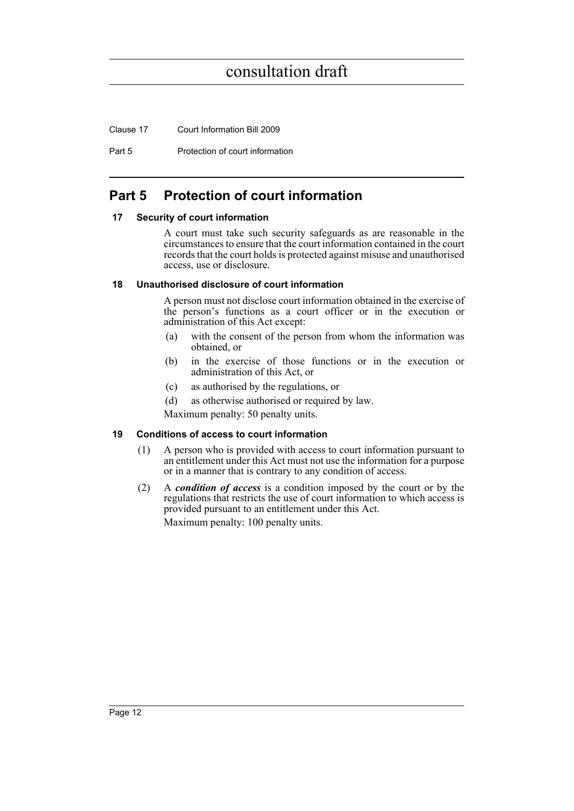Clause 17 Court Information Bill 2009

Part 5 Protection of court information

### <span id="page-13-0"></span>**Part 5 Protection of court information**

#### <span id="page-13-1"></span>**17 Security of court information**

A court must take such security safeguards as are reasonable in the circumstances to ensure that the court information contained in the court records that the court holds is protected against misuse and unauthorised access, use or disclosure.

#### <span id="page-13-2"></span>**18 Unauthorised disclosure of court information**

A person must not disclose court information obtained in the exercise of the person's functions as a court officer or in the execution or administration of this Act except:

- (a) with the consent of the person from whom the information was obtained, or
- (b) in the exercise of those functions or in the execution or administration of this Act, or
- (c) as authorised by the regulations, or
- (d) as otherwise authorised or required by law.

Maximum penalty: 50 penalty units.

#### <span id="page-13-3"></span>**19 Conditions of access to court information**

- (1) A person who is provided with access to court information pursuant to an entitlement under this Act must not use the information for a purpose or in a manner that is contrary to any condition of access.
- (2) A *condition of access* is a condition imposed by the court or by the regulations that restricts the use of court information to which access is provided pursuant to an entitlement under this Act. Maximum penalty: 100 penalty units.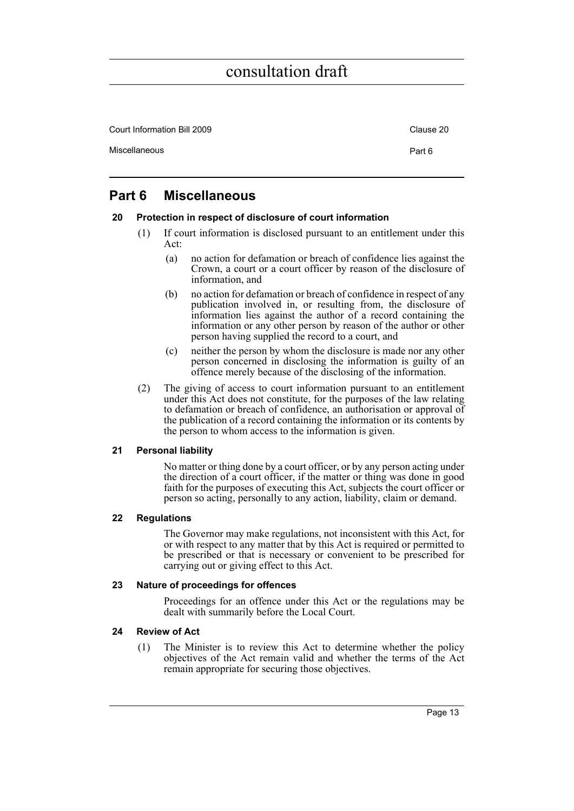| Court Information Bill 2009 | Clause 20 |
|-----------------------------|-----------|
| Miscellaneous               | Part 6    |

### <span id="page-14-0"></span>**Part 6 Miscellaneous**

#### <span id="page-14-1"></span>**20 Protection in respect of disclosure of court information**

- (1) If court information is disclosed pursuant to an entitlement under this Act:
	- (a) no action for defamation or breach of confidence lies against the Crown, a court or a court officer by reason of the disclosure of information, and
	- (b) no action for defamation or breach of confidence in respect of any publication involved in, or resulting from, the disclosure of information lies against the author of a record containing the information or any other person by reason of the author or other person having supplied the record to a court, and
	- (c) neither the person by whom the disclosure is made nor any other person concerned in disclosing the information is guilty of an offence merely because of the disclosing of the information.
- (2) The giving of access to court information pursuant to an entitlement under this Act does not constitute, for the purposes of the law relating to defamation or breach of confidence, an authorisation or approval of the publication of a record containing the information or its contents by the person to whom access to the information is given.

#### <span id="page-14-2"></span>**21 Personal liability**

No matter or thing done by a court officer, or by any person acting under the direction of a court officer, if the matter or thing was done in good faith for the purposes of executing this Act, subjects the court officer or person so acting, personally to any action, liability, claim or demand.

#### <span id="page-14-3"></span>**22 Regulations**

The Governor may make regulations, not inconsistent with this Act, for or with respect to any matter that by this Act is required or permitted to be prescribed or that is necessary or convenient to be prescribed for carrying out or giving effect to this Act.

#### <span id="page-14-4"></span>**23 Nature of proceedings for offences**

Proceedings for an offence under this Act or the regulations may be dealt with summarily before the Local Court.

#### <span id="page-14-5"></span>**24 Review of Act**

(1) The Minister is to review this Act to determine whether the policy objectives of the Act remain valid and whether the terms of the Act remain appropriate for securing those objectives.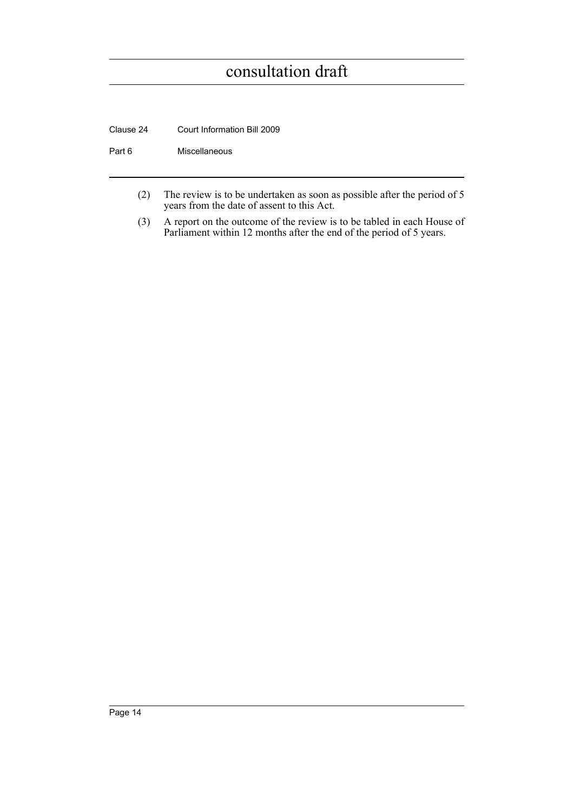Clause 24 Court Information Bill 2009

Part 6 Miscellaneous

- (2) The review is to be undertaken as soon as possible after the period of 5 years from the date of assent to this Act.
- (3) A report on the outcome of the review is to be tabled in each House of Parliament within 12 months after the end of the period of 5 years.